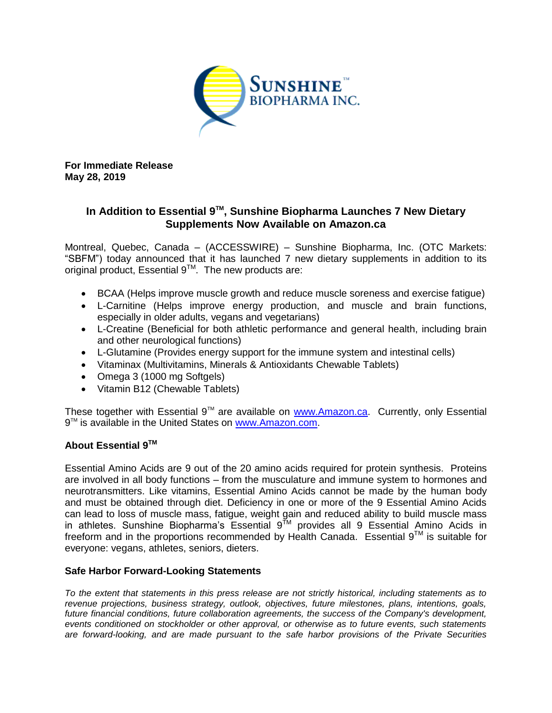

**For Immediate Release May 28, 2019**

## **In Addition to Essential 9TM , Sunshine Biopharma Launches 7 New Dietary Supplements Now Available on Amazon.ca**

Montreal, Quebec, Canada – (ACCESSWIRE) – Sunshine Biopharma, Inc. (OTC Markets: "SBFM") today announced that it has launched 7 new dietary supplements in addition to its original product, Essential 9™. The new products are:

- BCAA (Helps improve muscle growth and reduce muscle soreness and exercise fatigue)
- L-Carnitine (Helps improve energy production, and muscle and brain functions, especially in older adults, vegans and vegetarians)
- L-Creatine (Beneficial for both athletic performance and general health, including brain and other neurological functions)
- L-Glutamine (Provides energy support for the immune system and intestinal cells)
- Vitaminax (Multivitamins, Minerals & Antioxidants Chewable Tablets)
- Omega 3 (1000 mg Softgels)
- Vitamin B12 (Chewable Tablets)

These together with Essential 9<sup>™</sup> are available on [www.Amazon.ca.](http://www.amazon.ca/) Currently, only Essential 9™ is available in the United States on [www.Amazon.com.](http://www.amazon.com/)

## **About Essential 9TM**

Essential Amino Acids are 9 out of the 20 amino acids required for protein synthesis. Proteins are involved in all body functions – from the musculature and immune system to hormones and neurotransmitters. Like vitamins, Essential Amino Acids cannot be made by the human body and must be obtained through diet. Deficiency in one or more of the 9 Essential Amino Acids can lead to loss of muscle mass, fatigue, weight gain and reduced ability to build muscle mass in athletes. Sunshine Biopharma's Essential  $9^{TM}$  provides all 9 Essential Amino Acids in freeform and in the proportions recommended by Health Canada. Essential  $9^{TM}$  is suitable for everyone: vegans, athletes, seniors, dieters.

## **Safe Harbor Forward-Looking Statements**

*To the extent that statements in this press release are not strictly historical, including statements as to revenue projections, business strategy, outlook, objectives, future milestones, plans, intentions, goals, future financial conditions, future collaboration agreements, the success of the Company's development, events conditioned on stockholder or other approval, or otherwise as to future events, such statements are forward-looking, and are made pursuant to the safe harbor provisions of the Private Securities*